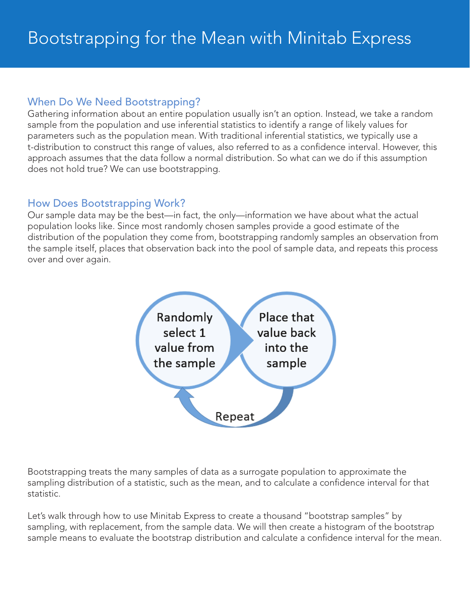#### When Do We Need Bootstrapping?

Gathering information about an entire population usually isn't an option. Instead, we take a random sample from the population and use inferential statistics to identify a range of likely values for parameters such as the population mean. With traditional inferential statistics, we typically use a t-distribution to construct this range of values, also referred to as a confidence interval. However, this approach assumes that the data follow a normal distribution. So what can we do if this assumption does not hold true? We can use bootstrapping.

#### How Does Bootstrapping Work?

Our sample data may be the best—in fact, the only—information we have about what the actual population looks like. Since most randomly chosen samples provide a good estimate of the distribution of the population they come from, bootstrapping randomly samples an observation from the sample itself, places that observation back into the pool of sample data, and repeats this process over and over again.



Bootstrapping treats the many samples of data as a surrogate population to approximate the sampling distribution of a statistic, such as the mean, and to calculate a confidence interval for that statistic.

Let's walk through how to use Minitab Express to create a thousand "bootstrap samples" by sampling, with replacement, from the sample data. We will then create a histogram of the bootstrap sample means to evaluate the bootstrap distribution and calculate a confidence interval for the mean.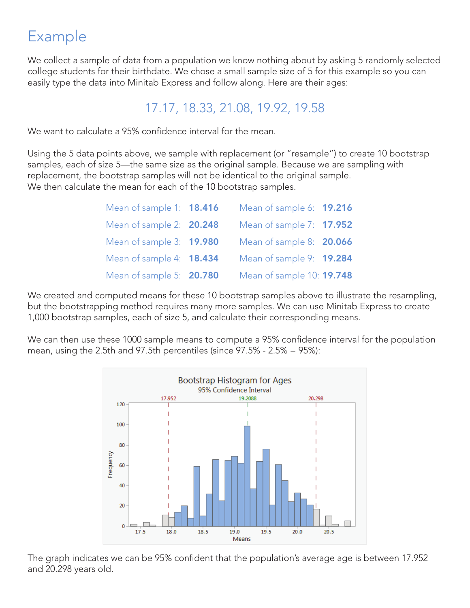# Example

We collect a sample of data from a population we know nothing about by asking 5 randomly selected college students for their birthdate. We chose a small sample size of 5 for this example so you can easily type the data into Minitab Express and follow along. Here are their ages:

### 17.17, 18.33, 21.08, 19.92, 19.58

We want to calculate a 95% confidence interval for the mean.

Using the 5 data points above, we sample with replacement (or "resample") to create 10 bootstrap samples, each of size 5—the same size as the original sample. Because we are sampling with replacement, the bootstrap samples will not be identical to the original sample. We then calculate the mean for each of the 10 bootstrap samples.

| Mean of sample 1: 18.416 | Mean of sample 6: 19.216  |  |
|--------------------------|---------------------------|--|
| Mean of sample 2: 20.248 | Mean of sample 7: 17.952  |  |
| Mean of sample 3: 19.980 | Mean of sample 8: 20.066  |  |
| Mean of sample 4: 18.434 | Mean of sample 9: 19.284  |  |
| Mean of sample 5: 20.780 | Mean of sample 10: 19.748 |  |

We created and computed means for these 10 bootstrap samples above to illustrate the resampling, but the bootstrapping method requires many more samples. We can use Minitab Express to create 1,000 bootstrap samples, each of size 5, and calculate their corresponding means.

We can then use these 1000 sample means to compute a 95% confidence interval for the population mean, using the 2.5th and 97.5th percentiles (since 97.5% - 2.5% = 95%):



The graph indicates we can be 95% confident that the population's average age is between 17.952 and 20.298 years old.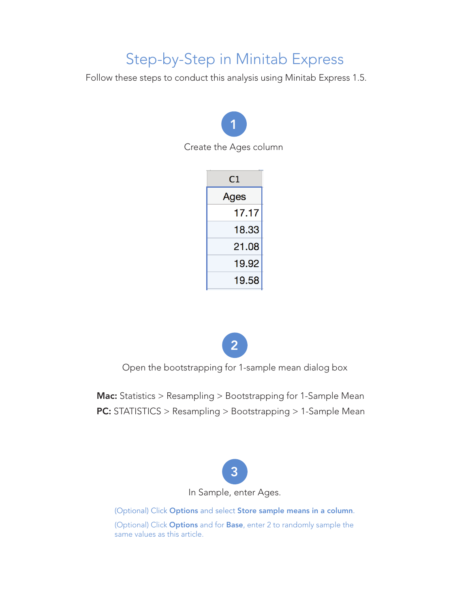## Step-by-Step in Minitab Express

Follow these steps to conduct this analysis using Minitab Express 1.5.



| C1    |
|-------|
| Ages  |
| 17.17 |
| 18.33 |
| 21.08 |
| 19.92 |
| 19.58 |



Open the bootstrapping for 1-sample mean dialog box

Mac: Statistics > Resampling > Bootstrapping for 1-Sample Mean PC: STATISTICS > Resampling > Bootstrapping > 1-Sample Mean



(Optional) Click Options and select Store sample means in a column.

(Optional) Click **Options** and for **Base**, enter 2 to randomly sample the same values as this article.